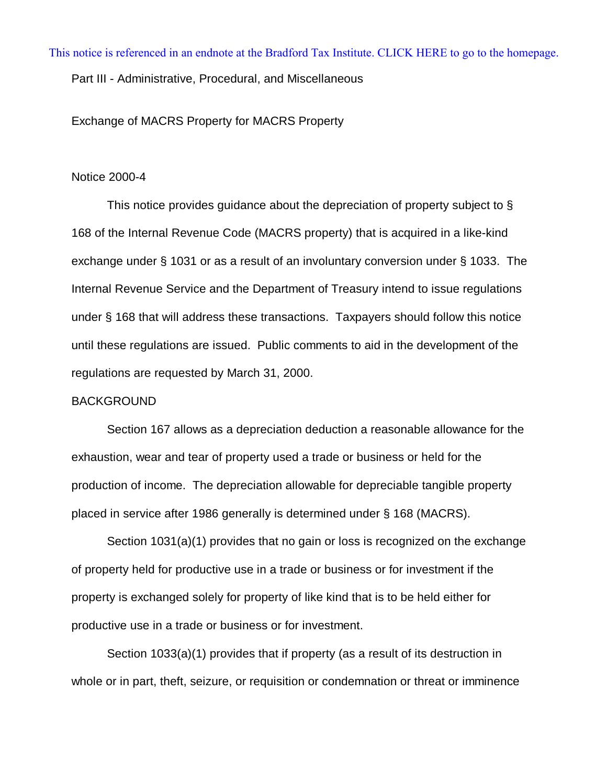[This notice is referenced in an endnote at the Bradford Tax Institute. CLICK HERE to go to the homepage.](www.bradfordtaxinstitute.com)

Part III - Administrative, Procedural, and Miscellaneous

Exchange of MACRS Property for MACRS Property

#### Notice 2000-4

This notice provides guidance about the depreciation of property subject to § 168 of the Internal Revenue Code (MACRS property) that is acquired in a like-kind exchange under § 1031 or as a result of an involuntary conversion under § 1033. The Internal Revenue Service and the Department of Treasury intend to issue regulations under § 168 that will address these transactions. Taxpayers should follow this notice until these regulations are issued. Public comments to aid in the development of the regulations are requested by March 31, 2000.

### BACKGROUND

Section 167 allows as a depreciation deduction a reasonable allowance for the exhaustion, wear and tear of property used a trade or business or held for the production of income. The depreciation allowable for depreciable tangible property placed in service after 1986 generally is determined under § 168 (MACRS).

Section 1031(a)(1) provides that no gain or loss is recognized on the exchange of property held for productive use in a trade or business or for investment if the property is exchanged solely for property of like kind that is to be held either for productive use in a trade or business or for investment.

Section 1033(a)(1) provides that if property (as a result of its destruction in whole or in part, theft, seizure, or requisition or condemnation or threat or imminence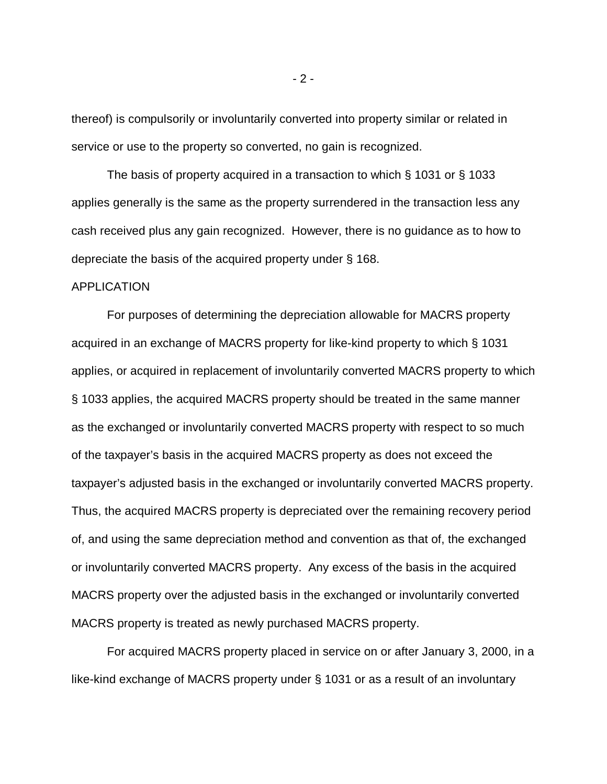thereof) is compulsorily or involuntarily converted into property similar or related in service or use to the property so converted, no gain is recognized.

The basis of property acquired in a transaction to which § 1031 or § 1033 applies generally is the same as the property surrendered in the transaction less any cash received plus any gain recognized. However, there is no guidance as to how to depreciate the basis of the acquired property under § 168.

#### APPLICATION

For purposes of determining the depreciation allowable for MACRS property acquired in an exchange of MACRS property for like-kind property to which § 1031 applies, or acquired in replacement of involuntarily converted MACRS property to which § 1033 applies, the acquired MACRS property should be treated in the same manner as the exchanged or involuntarily converted MACRS property with respect to so much of the taxpayer's basis in the acquired MACRS property as does not exceed the taxpayer's adjusted basis in the exchanged or involuntarily converted MACRS property. Thus, the acquired MACRS property is depreciated over the remaining recovery period of, and using the same depreciation method and convention as that of, the exchanged or involuntarily converted MACRS property. Any excess of the basis in the acquired MACRS property over the adjusted basis in the exchanged or involuntarily converted MACRS property is treated as newly purchased MACRS property.

For acquired MACRS property placed in service on or after January 3, 2000, in a like-kind exchange of MACRS property under § 1031 or as a result of an involuntary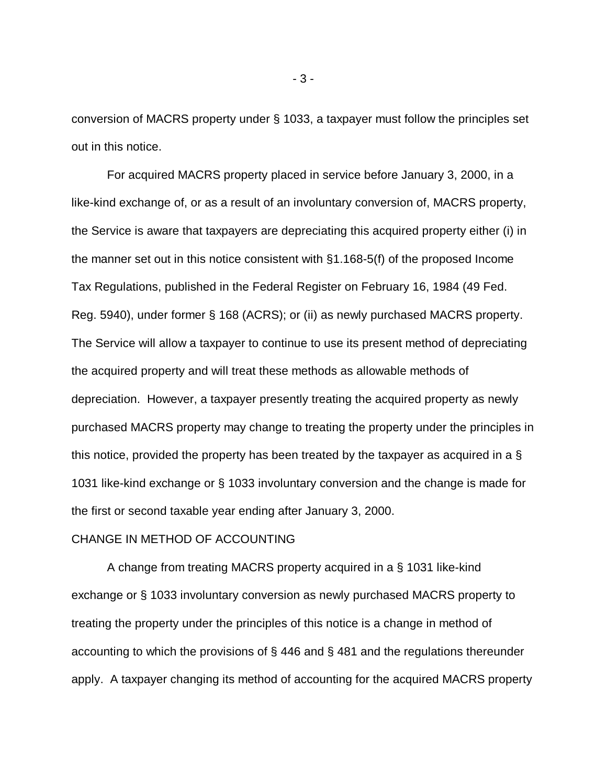conversion of MACRS property under § 1033, a taxpayer must follow the principles set out in this notice.

For acquired MACRS property placed in service before January 3, 2000, in a like-kind exchange of, or as a result of an involuntary conversion of, MACRS property, the Service is aware that taxpayers are depreciating this acquired property either (i) in the manner set out in this notice consistent with §1.168-5(f) of the proposed Income Tax Regulations, published in the Federal Register on February 16, 1984 (49 Fed. Reg. 5940), under former § 168 (ACRS); or (ii) as newly purchased MACRS property. The Service will allow a taxpayer to continue to use its present method of depreciating the acquired property and will treat these methods as allowable methods of depreciation. However, a taxpayer presently treating the acquired property as newly purchased MACRS property may change to treating the property under the principles in this notice, provided the property has been treated by the taxpayer as acquired in a § 1031 like-kind exchange or § 1033 involuntary conversion and the change is made for the first or second taxable year ending after January 3, 2000.

## CHANGE IN METHOD OF ACCOUNTING

A change from treating MACRS property acquired in a § 1031 like-kind exchange or § 1033 involuntary conversion as newly purchased MACRS property to treating the property under the principles of this notice is a change in method of accounting to which the provisions of § 446 and § 481 and the regulations thereunder apply. A taxpayer changing its method of accounting for the acquired MACRS property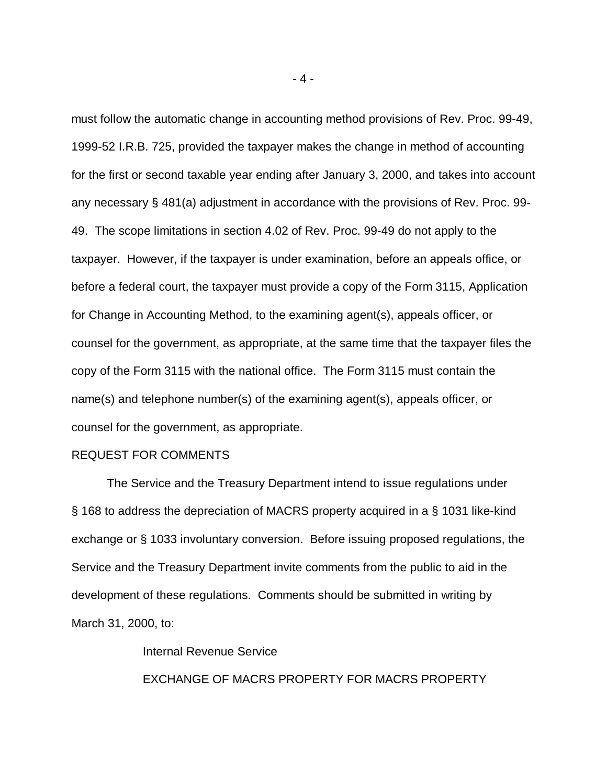must follow the automatic change in accounting method provisions of Rev. Proc. 99-49, 1999-52 I.R.B. 725, provided the taxpayer makes the change in method of accounting for the first or second taxable year ending after January 3, 2000, and takes into account any necessary § 481(a) adjustment in accordance with the provisions of Rev. Proc. 99- 49. The scope limitations in section 4.02 of Rev. Proc. 99-49 do not apply to the taxpayer. However, if the taxpayer is under examination, before an appeals office, or before a federal court, the taxpayer must provide a copy of the Form 3115, Application for Change in Accounting Method, to the examining agent(s), appeals officer, or counsel for the government, as appropriate, at the same time that the taxpayer files the copy of the Form 3115 with the national office. The Form 3115 must contain the name(s) and telephone number(s) of the examining agent(s), appeals officer, or counsel for the government, as appropriate.

### REQUEST FOR COMMENTS

The Service and the Treasury Department intend to issue regulations under § 168 to address the depreciation of MACRS property acquired in a § 1031 like-kind exchange or § 1033 involuntary conversion. Before issuing proposed regulations, the Service and the Treasury Department invite comments from the public to aid in the development of these regulations. Comments should be submitted in writing by March 31, 2000, to:

Internal Revenue Service

EXCHANGE OF MACRS PROPERTY FOR MACRS PROPERTY